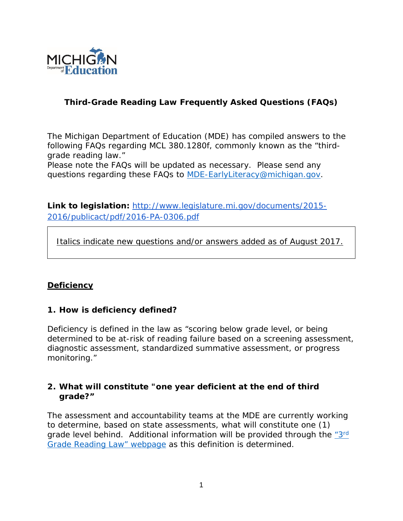

# **Third-Grade Reading Law Frequently Asked Questions (FAQs)**

The Michigan Department of Education (MDE) has compiled answers to the following FAQs regarding MCL 380.1280f, commonly known as the "thirdgrade reading law."

Please note the FAQs will be updated as necessary. Please send any questions regarding these FAQs to [MDE-EarlyLiteracy@michigan.gov.](mailto:MDE-EarlyLiteracy@michigan.gov)

**Link to legislation:** [http://www.legislature.mi.gov/documents/2015-](http://www.legislature.mi.gov/documents/2015-2016/publicact/pdf/2016-PA-0306.pdf) [2016/publicact/pdf/2016-PA-0306.pdf](http://www.legislature.mi.gov/documents/2015-2016/publicact/pdf/2016-PA-0306.pdf)

 *Italics indicate new questions and/or answers added as of August 2017.*

## **Deficiency**

### **1. How is deficiency defined?**

Deficiency is defined in the law as "scoring below grade level, or being determined to be at-risk of reading failure based on a screening assessment, diagnostic assessment, standardized summative assessment, or progress monitoring."

### **2. What will constitute "one year deficient at the end of third grade?"**

The assessment and accountability teams at the MDE are currently working to determine, based on state assessments, what will constitute one (1) grade level behind. Additional information will be provided through the ["3rd](http://www.michigan.gov/mde/0,4615,7-140-28753_74161---,00.html) [Grade Reading Law" webpage](http://www.michigan.gov/mde/0,4615,7-140-28753_74161---,00.html) as this definition is determined.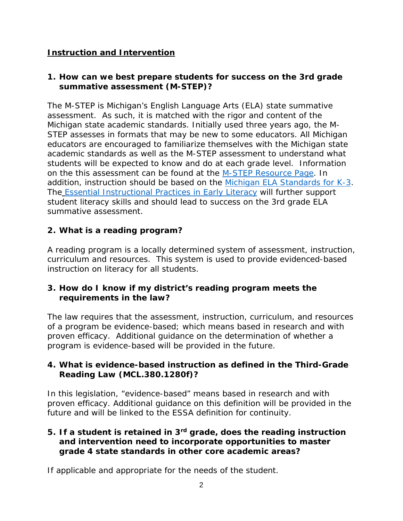## **Instruction and Intervention**

## **1. How can we best prepare students for success on the 3rd grade summative assessment (M-STEP)?**

The M-STEP is Michigan's English Language Arts (ELA) state summative assessment. As such, it is matched with the rigor and content of the Michigan state academic standards. Initially used three years ago, the M-STEP assesses in formats that may be new to some educators. All Michigan educators are encouraged to familiarize themselves with the Michigan state academic standards as well as the M-STEP assessment to understand what students will be expected to know and do at each grade level. Information on th[e](http://www.michigan.gov/mde/0,4615,7-140-22709_70117---,00.html) this assessment can be found at the [M-STEP Resource Page.](http://www.michigan.gov/mde/0,4615,7-140-22709_70117---,00.html) In addition, instruction should be based on the [Michigan ELA Standards for K-3.](http://www.michigan.gov/mde/0,4615,7-140-28753_64839_65510---,00.html) The [Essential Instructional Practices in Early Literacy](http://www.gomaisa.org/sites/default/files/K-3%20Literacy%20Essentials%203.2016.pdf) will further support student literacy skills and should lead to success on the 3rd grade ELA summative assessment.

# **2. What is a reading program?**

A reading program is a locally determined system of assessment, instruction, curriculum and resources. This system is used to provide evidenced-based instruction on literacy for all students.

## **3. How do I know if my district's reading program meets the requirements in the law?**

The law requires that the assessment, instruction, curriculum, and resources of a program be evidence-based; which means based in research and with proven efficacy. Additional guidance on the determination of whether a program is evidence-based will be provided in the future.

## **4. What is evidence-based instruction as defined in the Third-Grade Reading Law (MCL.380.1280f)?**

In this legislation, "evidence-based" means based in research and with proven efficacy. Additional guidance on this definition will be provided in the future and will be linked to the ESSA definition for continuity.

### **5. If a student is retained in 3rd grade, does the reading instruction and intervention need to incorporate opportunities to master grade 4 state standards in other core academic areas?**

If applicable and appropriate for the needs of the student.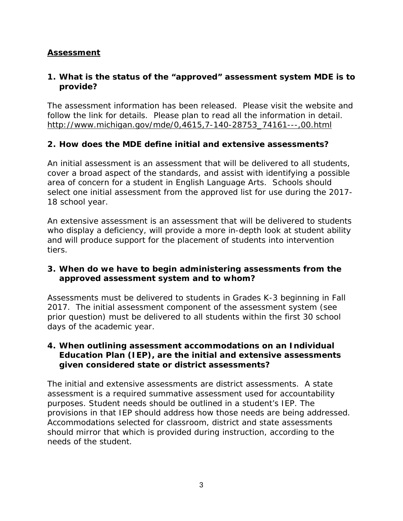## **Assessment**

## **1. What is the status of the "approved" assessment system MDE is to provide?**

The assessment information has been released. Please visit the website and follow the link for details. Please plan to read all the information in detail. [http://www.michigan.gov/mde/0,4615,7-140-28753\\_74161---,00.html](http://www.michigan.gov/mde/0,4615,7-140-28753_74161---,00.html)

### **2. How does the MDE define initial and extensive assessments?**

An initial assessment is an assessment that will be delivered to all students, cover a broad aspect of the standards, and assist with identifying a possible area of concern for a student in English Language Arts. Schools should select one initial assessment from the approved list for use during the 2017- 18 school year.

An extensive assessment is an assessment that will be delivered to students who display a deficiency, will provide a more in-depth look at student ability and will produce support for the placement of students into intervention tiers.

#### **3. When do we have to begin administering assessments from the approved assessment system and to whom?**

Assessments must be delivered to students in Grades K-3 beginning in Fall 2017. The initial assessment component of the assessment system (see prior question) must be delivered to all students within the first 30 school days of the academic year.

### **4. When outlining assessment accommodations on an Individual Education Plan (IEP), are the initial and extensive assessments given considered state or district assessments?**

The initial and extensive assessments are district assessments. A state assessment is a required summative assessment used for accountability purposes. Student needs should be outlined in a student's IEP. The provisions in that IEP should address how those needs are being addressed. Accommodations selected for classroom, district and state assessments should mirror that which is provided during instruction, according to the needs of the student.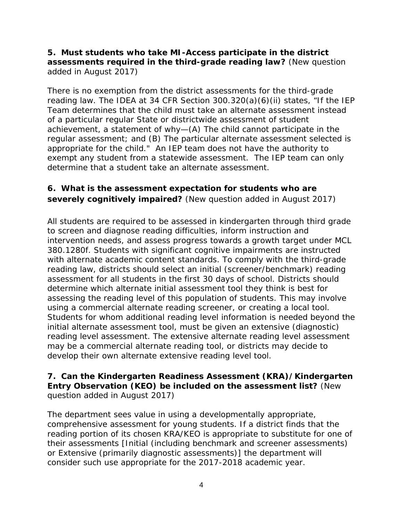### **5.** *Must students who take MI-Access participate in the district assessments required in the third-grade reading law? (New question added in August 2017)*

*There is no exemption from the district assessments for the third-grade reading law. The IDEA at 34 CFR Section 300.320(a)(6)(ii) states, "If the IEP Team determines that the child must take an alternate assessment instead of a particular regular State or districtwide assessment of student achievement, a statement of why—(A) The child cannot participate in the regular assessment; and (B) The particular alternate assessment selected is appropriate for the child." An IEP team does not have the authority to exempt any student from a statewide assessment. The IEP team can only determine that a student take an alternate assessment.*

# **6.** *What is the assessment expectation for students who are severely cognitively impaired? (New question added in August 2017)*

*All students are required to be assessed in kindergarten through third grade to screen and diagnose reading difficulties, inform instruction and intervention needs, and assess progress towards a growth target under MCL 380.1280f. Students with significant cognitive impairments are instructed with alternate academic content standards. To comply with the third-grade reading law, districts should select an initial (screener/benchmark) reading assessment for all students in the first 30 days of school. Districts should determine which alternate initial assessment tool they think is best for assessing the reading level of this population of students. This may involve using a commercial alternate reading screener, or creating a local tool. Students for whom additional reading level information is needed beyond the initial alternate assessment tool, must be given an extensive (diagnostic) reading level assessment. The extensive alternate reading level assessment may be a commercial alternate reading tool, or districts may decide to develop their own alternate extensive reading level tool.*

## **7.** *Can the Kindergarten Readiness Assessment (KRA)/Kindergarten Entry Observation (KEO) be included on the assessment list? (New question added in August 2017)*

*The department sees value in using a developmentally appropriate, comprehensive assessment for young students. If a district finds that the reading portion of its chosen KRA/KEO is appropriate to substitute for one of their assessments [Initial (including benchmark and screener assessments) or Extensive (primarily diagnostic assessments)] the department will consider such use appropriate for the 2017-2018 academic year.*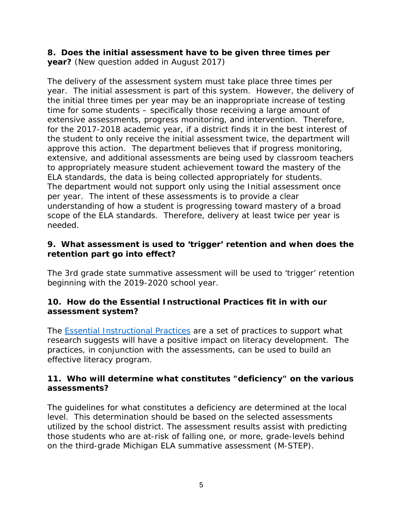### **8.** *Does the initial assessment have to be given three times per year? (New question added in August 2017)*

*The delivery of the assessment system must take place three times per year. The initial assessment is part of this system. However, the delivery of the initial three times per year may be an inappropriate increase of testing time for some students – specifically those receiving a large amount of extensive assessments, progress monitoring, and intervention. Therefore, for the 2017-2018 academic year, if a district finds it in the best interest of the student to only receive the initial assessment twice, the department will approve this action. The department believes that if progress monitoring, extensive, and additional assessments are being used by classroom teachers to appropriately measure student achievement toward the mastery of the ELA standards, the data is being collected appropriately for students. The department would not support only using the Initial assessment once per year. The intent of these assessments is to provide a clear understanding of how a student is progressing toward mastery of a broad scope of the ELA standards. Therefore, delivery at least twice per year is needed.* 

### **9. What assessment is used to 'trigger' retention and when does the retention part go into effect?**

The 3rd grade state summative assessment will be used to 'trigger' retention beginning with the 2019-2020 school year.

### **10. How do the Essential Instructional Practices fit in with our assessment system?**

The [Essential Instructional Practices](http://www.gomaisa.org/sites/default/files/K-3%20Literacy%20Essentials%203.2016.pdf) are a set of practices to support what research suggests will have a positive impact on literacy development. The practices, in conjunction with the assessments, can be used to build an effective literacy program.

## **11. Who will determine what constitutes "deficiency" on the various assessments?**

The guidelines for what constitutes a deficiency are determined at the local level. This determination should be based on the selected assessments utilized by the school district. The assessment results assist with predicting those students who are at-risk of falling one, or more, grade-levels behind on the third-grade Michigan ELA summative assessment (M-STEP).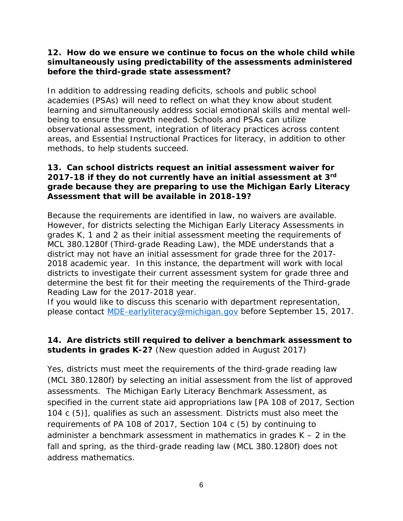### **12. How do we ensure we continue to focus on the whole child while simultaneously using predictability of the assessments administered before the third-grade state assessment?**

In addition to addressing reading deficits, schools and public school academies (PSAs) will need to reflect on what they know about student learning and simultaneously address social emotional skills and mental wellbeing to ensure the growth needed. Schools and PSAs can utilize observational assessment, integration of literacy practices across content areas, and Essential Instructional Practices for literacy, in addition to other methods, to help students succeed.

### **13. Can school districts request an initial assessment waiver for 2017-18 if they do not currently have an initial assessment at 3rd grade because they are preparing to use the Michigan Early Literacy Assessment that will be available in 2018-19?**

Because the requirements are identified in law, no waivers are available. However, for districts selecting the Michigan Early Literacy Assessments in grades K, 1 and 2 as their initial assessment meeting the requirements of MCL 380.1280f (Third-grade Reading Law), the MDE understands that a district may not have an initial assessment for grade three for the 2017- 2018 academic year. In this instance, the department will work with local districts to investigate their current assessment system for grade three and determine the best fit for their meeting the requirements of the Third-grade Reading Law for the 2017-2018 year.

If you would like to discuss this scenario with department representation, please contact [MDE-earlyliteracy@michigan.gov](mailto:MDE-earlyliteracy@michigan.gov) before September 15, 2017.

## *14. Are districts still required to deliver a benchmark assessment to students in grades K-2? (New question added in August 2017)*

*Yes, districts must meet the requirements of the third-grade reading law (MCL 380.1280f) by selecting an initial assessment from the list of approved assessments. The Michigan Early Literacy Benchmark Assessment, as specified in the current state aid appropriations law [PA 108 of 2017, Section 104 c (5)], qualifies as such an assessment. Districts must also meet the requirements of PA 108 of 2017, Section 104 c (5) by continuing to administer a benchmark assessment in mathematics in grades K – 2 in the*  fall and spring, as the third-grade reading law (MCL 380.1280f) does not *address mathematics.*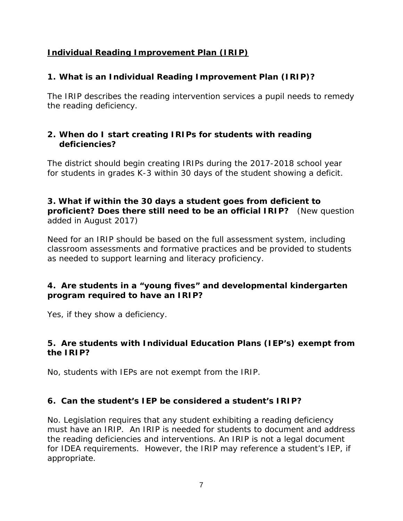## **Individual Reading Improvement Plan (IRIP)**

# **1. What is an Individual Reading Improvement Plan (IRIP)?**

The IRIP describes the reading intervention services a pupil needs to remedy the reading deficiency.

### **2. When do I start creating IRIPs for students with reading deficiencies?**

The district should begin creating IRIPs during the 2017-2018 school year for students in grades K-3 within 30 days of the student showing a deficit.

### **3.** *What if within the 30 days a student goes from deficient to proficient? Does there still need to be an official IRIP? (New question added in August 2017)*

*Need for an IRIP should be based on the full assessment system, including classroom assessments and formative practices and be provided to students as needed to support learning and literacy proficiency.*

## **4. Are students in a "young fives" and developmental kindergarten program required to have an IRIP?**

Yes, if they show a deficiency.

## **5. Are students with Individual Education Plans (IEP's) exempt from the IRIP?**

No, students with IEPs are not exempt from the IRIP.

## **6. Can the student's IEP be considered a student's IRIP?**

No. Legislation requires that any student exhibiting a reading deficiency must have an IRIP. An IRIP is needed for students to document and address the reading deficiencies and interventions. An IRIP is not a legal document for IDEA requirements. However, the IRIP may reference a student's IEP, if appropriate.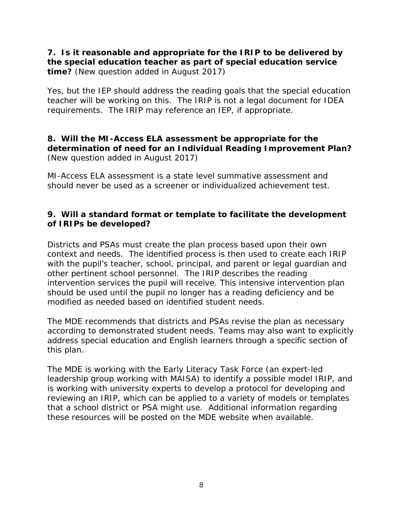## **7.** *Is it reasonable and appropriate for the IRIP to be delivered by the special education teacher as part of special education service time? (New question added in August 2017)*

*Yes, but the IEP should address the reading goals that the special education teacher will be working on this. The IRIP is not a legal document for IDEA requirements. The IRIP may reference an IEP, if appropriate.*

## **8.** *Will the MI-Access ELA assessment be appropriate for the determination of need for an Individual Reading Improvement Plan? (New question added in August 2017)*

*MI-Access ELA assessment is a state level summative assessment and should never be used as a screener or individualized achievement test.*

## **9. Will a standard format or template to facilitate the development of IRIPs be developed?**

Districts and PSAs must create the plan process based upon their own context and needs. The identified process is then used to create each IRIP with the pupil's teacher, school, principal, and parent or legal guardian and other pertinent school personnel. The IRIP describes the reading intervention services the pupil will receive. This intensive intervention plan should be used until the pupil no longer has a reading deficiency and be modified as needed based on identified student needs.

The MDE recommends that districts and PSAs revise the plan as necessary according to demonstrated student needs. Teams may also want to explicitly address special education and English learners through a specific section of this plan.

The MDE is working with the Early Literacy Task Force (an expert-led leadership group working with MAISA) to identify a possible model IRIP, and is working with university experts to develop a protocol for developing and reviewing an IRIP, which can be applied to a variety of models or templates that a school district or PSA might use. Additional information regarding these resources will be posted on the MDE website when available.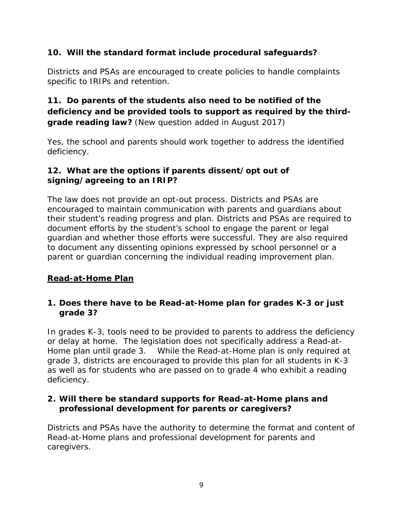# **10. Will the standard format include procedural safeguards?**

Districts and PSAs are encouraged to create policies to handle complaints specific to IRIPs and retention.

# **11.** *Do parents of the students also need to be notified of the deficiency and be provided tools to support as required by the thirdgrade reading law? (New question added in August 2017)*

*Yes, the school and parents should work together to address the identified deficiency.*

## **12. What are the options if parents dissent/opt out of signing/agreeing to an IRIP?**

The law does not provide an opt-out process. Districts and PSAs are encouraged to maintain communication with parents and guardians about their student's reading progress and plan. Districts and PSAs are required to document efforts by the student's school to engage the parent or legal guardian and whether those efforts were successful. They are also required to document any dissenting opinions expressed by school personnel or a parent or guardian concerning the individual reading improvement plan.

## **Read-at-Home Plan**

### **1. Does there have to be Read-at-Home plan for grades K-3 or just grade 3?**

In grades K-3, tools need to be provided to parents to address the deficiency or delay at home. The legislation does not specifically address a Read-at-Home plan until grade 3. While the Read-at-Home plan is only required at grade 3, districts are encouraged to provide this plan for all students in K-3 as well as for students who are passed on to grade 4 who exhibit a reading deficiency.

## **2. Will there be standard supports for Read-at-Home plans and professional development for parents or caregivers?**

Districts and PSAs have the authority to determine the format and content of Read-at-Home plans and professional development for parents and caregivers.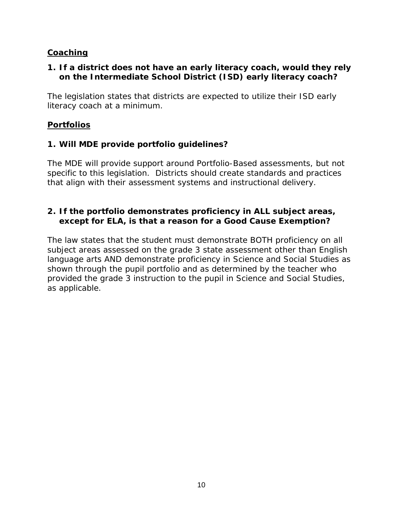## **Coaching**

## **1. If a district does not have an early literacy coach, would they rely on the Intermediate School District (ISD) early literacy coach?**

The legislation states that districts are expected to utilize their ISD early literacy coach at a minimum.

## **Portfolios**

## **1. Will MDE provide portfolio guidelines?**

The MDE will provide support around Portfolio-Based assessments, but not specific to this legislation. Districts should create standards and practices that align with their assessment systems and instructional delivery.

## **2. If the portfolio demonstrates proficiency in ALL subject areas, except for ELA, is that a reason for a Good Cause Exemption?**

The law states that the student must demonstrate BOTH proficiency on all subject areas assessed on the grade 3 state assessment other than English language arts AND demonstrate proficiency in Science and Social Studies as shown through the pupil portfolio and as determined by the teacher who provided the grade 3 instruction to the pupil in Science and Social Studies, as applicable.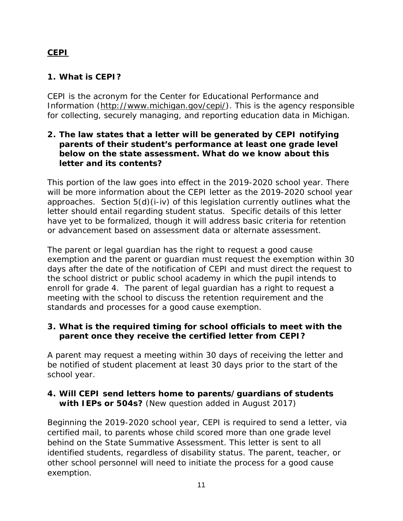# **CEPI**

# **1. What is CEPI?**

CEPI is the acronym for the Center for Educational Performance and Information [\(http://www.michigan.gov/cepi/\)](http://www.michigan.gov/cepi/). This is the agency responsible for collecting, securely managing, and reporting education data in Michigan.

### **2. The law states that a letter will be generated by CEPI notifying parents of their student's performance at least one grade level below on the state assessment. What do we know about this letter and its contents?**

This portion of the law goes into effect in the 2019-2020 school year. There will be more information about the CEPI letter as the 2019-2020 school year approaches. Section 5(d)(i-iv) of this legislation currently outlines what the letter should entail regarding student status. Specific details of this letter have yet to be formalized, though it will address basic criteria for retention or advancement based on assessment data or alternate assessment.

The parent or legal guardian has the right to request a good cause exemption and the parent or guardian must request the exemption within 30 days after the date of the notification of CEPI and must direct the request to the school district or public school academy in which the pupil intends to enroll for grade 4. The parent of legal guardian has a right to request a meeting with the school to discuss the retention requirement and the standards and processes for a good cause exemption.

## **3. What is the required timing for school officials to meet with the parent once they receive the certified letter from CEPI?**

A parent may request a meeting within 30 days of receiving the letter and be notified of student placement at least 30 days prior to the start of the school year.

## **4.** *Will CEPI send letters home to parents/guardians of students with IEPs or 504s? (New question added in August 2017)*

*Beginning the 2019-2020 school year, CEPI is required to send a letter, via certified mail, to parents whose child scored more than one grade level behind on the State Summative Assessment. This letter is sent to all identified students, regardless of disability status. The parent, teacher, or other school personnel will need to initiate the process for a good cause exemption.*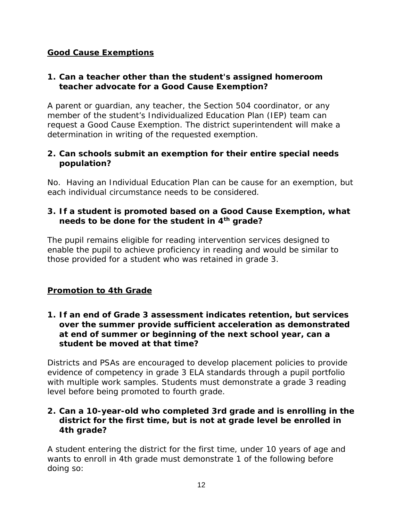## **Good Cause Exemptions**

## **1. Can a teacher other than the student's assigned homeroom teacher advocate for a Good Cause Exemption?**

A parent or guardian, any teacher, the Section 504 coordinator, or any member of the student's Individualized Education Plan (IEP) team can request a Good Cause Exemption. The district superintendent will make a determination in writing of the requested exemption.

## **2. Can schools submit an exemption for their entire special needs population?**

No. Having an Individual Education Plan can be cause for an exemption, but each individual circumstance needs to be considered.

## **3. If a student is promoted based on a Good Cause Exemption, what needs to be done for the student in 4th grade?**

The pupil remains eligible for reading intervention services designed to enable the pupil to achieve proficiency in reading and would be similar to those provided for a student who was retained in grade 3.

## **Promotion to 4th Grade**

### **1. If an end of Grade 3 assessment indicates retention, but services over the summer provide sufficient acceleration as demonstrated at end of summer or beginning of the next school year, can a student be moved at that time?**

Districts and PSAs are encouraged to develop placement policies to provide evidence of competency in grade 3 ELA standards through a pupil portfolio with multiple work samples. Students must demonstrate a grade 3 reading level before being promoted to fourth grade.

### **2. Can a 10-year-old who completed 3rd grade and is enrolling in the district for the first time, but is not at grade level be enrolled in 4th grade?**

A student entering the district for the first time, under 10 years of age and wants to enroll in 4th grade must demonstrate 1 of the following before doing so: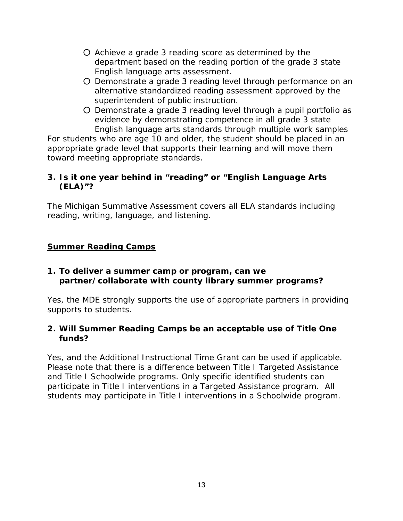- Achieve a grade 3 reading score as determined by the department based on the reading portion of the grade 3 state English language arts assessment.
- Demonstrate a grade 3 reading level through performance on an alternative standardized reading assessment approved by the superintendent of public instruction.
- Demonstrate a grade 3 reading level through a pupil portfolio as evidence by demonstrating competence in all grade 3 state English language arts standards through multiple work samples

For students who are age 10 and older, the student should be placed in an appropriate grade level that supports their learning and will move them toward meeting appropriate standards.

## **3. Is it one year behind in "reading" or "English Language Arts (ELA)"?**

The Michigan Summative Assessment covers all ELA standards including reading, writing, language, and listening.

## **Summer Reading Camps**

### **1. To deliver a summer camp or program, can we partner/collaborate with county library summer programs?**

Yes, the MDE strongly supports the use of appropriate partners in providing supports to students.

### **2. Will Summer Reading Camps be an acceptable use of Title One funds?**

Yes, and the Additional Instructional Time Grant can be used if applicable. Please note that there is a difference between Title I Targeted Assistance and Title I Schoolwide programs. Only specific identified students can participate in Title I interventions in a Targeted Assistance program. All students may participate in Title I interventions in a Schoolwide program.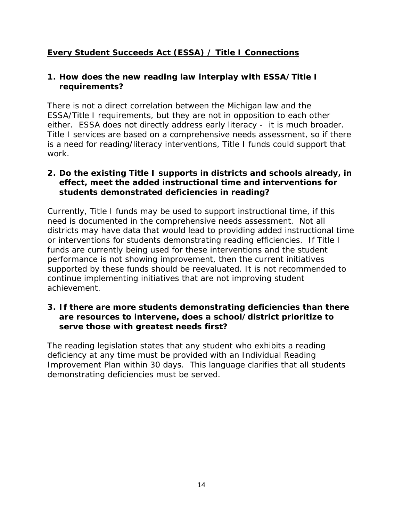# **Every Student Succeeds Act (ESSA) / Title I Connections**

### **1. How does the new reading law interplay with ESSA/Title I requirements?**

There is not a direct correlation between the Michigan law and the ESSA/Title I requirements, but they are not in opposition to each other either. ESSA does not directly address early literacy - it is much broader. Title I services are based on a comprehensive needs assessment, so if there is a need for reading/literacy interventions, Title I funds could support that work.

## **2. Do the existing Title I supports in districts and schools already, in effect, meet the added instructional time and interventions for students demonstrated deficiencies in reading?**

Currently, Title I funds may be used to support instructional time, if this need is documented in the comprehensive needs assessment. Not all districts may have data that would lead to providing added instructional time or interventions for students demonstrating reading efficiencies. If Title I funds are currently being used for these interventions and the student performance is not showing improvement, then the current initiatives supported by these funds should be reevaluated. It is not recommended to continue implementing initiatives that are not improving student achievement.

### **3. If there are more students demonstrating deficiencies than there are resources to intervene, does a school/district prioritize to serve those with greatest needs first?**

The reading legislation states that any student who exhibits a reading deficiency at any time must be provided with an Individual Reading Improvement Plan within 30 days. This language clarifies that all students demonstrating deficiencies must be served.